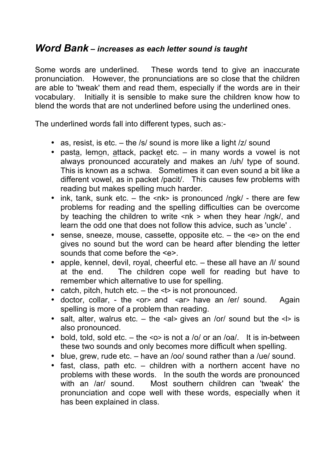## *Word Bank – increases as each letter sound is taught*

Some words are underlined. These words tend to give an inaccurate pronunciation. However, the pronunciations are so close that the children are able to 'tweak' them and read them, especially if the words are in their vocabulary. Initially it is sensible to make sure the children know how to blend the words that are not underlined before using the underlined ones.

The underlined words fall into different types, such as:-

- as, resist, is etc. the /s/ sound is more like a light /z/ sound
- pasta, lemon, attack, packet etc. in many words a vowel is not always pronounced accurately and makes an /uh/ type of sound. This is known as a schwa. Sometimes it can even sound a bit like a different vowel, as in packet /pacit/. This causes few problems with reading but makes spelling much harder.
- ink, tank, sunk etc.  $-$  the  $\langle n \rangle$  is pronounced /ngk/ there are few problems for reading and the spelling difficulties can be overcome by teaching the children to write <nk > when they hear /ngk/, and learn the odd one that does not follow this advice, such as 'uncle' .
- sense, sneeze, mouse, cassette, opposite etc. the  $\leq$  on the end gives no sound but the word can be heard after blending the letter sounds that come before the <e>.
- apple, kennel, devil, royal, cheerful etc. these all have an /l/ sound at the end. The children cope well for reading but have to remember which alternative to use for spelling.
- catch, pitch, hutch etc.  $-$  the  $\lt$ t is not pronounced.
- doctor, collar, the <or> and <ar> have an /er/ sound. Again spelling is more of a problem than reading.
- salt, alter, walrus etc.  $-$  the  $\leq$  al> gives an /or/ sound but the  $\leq$  is also pronounced.
- bold, told, sold etc. the <o> is not a /o/ or an /oa/. It is in-between these two sounds and only becomes more difficult when spelling.
- blue, grew, rude etc. have an /oo/ sound rather than a /ue/ sound.
- fast, class, path etc. children with a northern accent have no problems with these words. In the south the words are pronounced with an /ar/ sound. Most southern children can 'tweak' the pronunciation and cope well with these words, especially when it has been explained in class.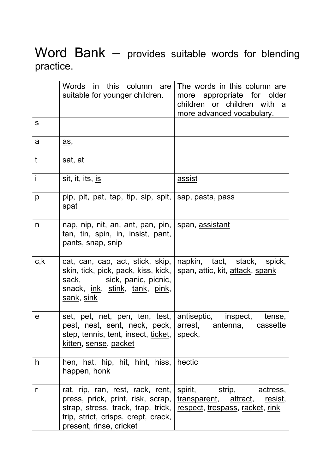## Word Bank – provides suitable words for blending practice.

|               | in<br>this column are<br>Words<br>suitable for younger children.                                                                                                              | The words in this column are<br>more appropriate for older<br>children or children with<br>- a<br>more advanced vocabulary. |
|---------------|-------------------------------------------------------------------------------------------------------------------------------------------------------------------------------|-----------------------------------------------------------------------------------------------------------------------------|
| ${\mathsf S}$ |                                                                                                                                                                               |                                                                                                                             |
| a             | as,                                                                                                                                                                           |                                                                                                                             |
| t             | sat, at                                                                                                                                                                       |                                                                                                                             |
| İ.            | sit, it, its, is                                                                                                                                                              | assist                                                                                                                      |
| p             | pip, pit, pat, tap, tip, sip, spit,<br>spat                                                                                                                                   | sap, pasta, pass                                                                                                            |
| n             | nap, nip, nit, an, ant, pan, pin,<br>tan, tin, spin, in, insist, pant,<br>pants, snap, snip                                                                                   | span, assistant                                                                                                             |
| c, k          | cat, can, cap, act, stick, skip,<br>skin, tick, pick, pack, kiss, kick,<br>sack, sick, panic, picnic,<br>snack, <u>ink, stink, tank, pink,</u><br>sank, sink                  | napkin, tact, stack, spick,<br>span, attic, kit, attack, spank                                                              |
| e             | set, pet, net, pen, ten, test, antiseptic, inspect,<br>pest, nest, sent, neck, peck,<br>step, tennis, tent, insect, ticket,   speck,<br>kitten, sense, packet                 | tense,<br>arrest,<br>antenna,<br>cassette                                                                                   |
| h             | hen, hat, hip, hit, hint, hiss,<br>happen, honk                                                                                                                               | hectic                                                                                                                      |
| r             | rat, rip, ran, rest, rack, rent,<br>press, prick, print, risk, scrap,<br>strap, stress, track, trap, trick,<br>trip, strict, crisps, crept, crack,<br>present, rinse, cricket | spirit,<br>strip,<br>actress,<br>attract,<br>resist,<br>transparent,<br>respect, trespass, racket, rink                     |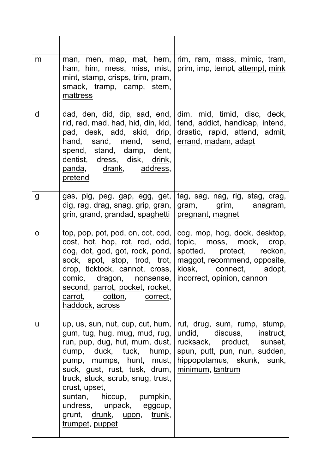| m            | mint, stamp, crisps, trim, pram,<br>smack, tramp, camp, stem,<br>mattress                                                                                                                                                                                                                             | man, men, map, mat, hem, rim, ram, mass, mimic, tram,<br>ham, him, mess, miss, mist, prim, imp, tempt, attempt, mink                                                                                                        |
|--------------|-------------------------------------------------------------------------------------------------------------------------------------------------------------------------------------------------------------------------------------------------------------------------------------------------------|-----------------------------------------------------------------------------------------------------------------------------------------------------------------------------------------------------------------------------|
| d            | hand, sand, mend, send, errand, madam, adapt<br>spend, stand, damp, dent,<br>dentist, dress, disk, drink,<br>panda, drank, address,<br>pretend                                                                                                                                                        | dad, den, did, dip, sad, end, dim, mid, timid, disc, deck,<br>rid, red, mad, had, hid, din, kid,   tend, addict, handicap, intend,<br>pad, desk, add, skid, drip, drastic, rapid, attend, admit,                            |
| g            | gas, pig, peg, gap, egg, get,<br>dig, rag, drag, snag, grip, gran,<br>grin, grand, grandad, spaghetti                                                                                                                                                                                                 | tag, sag, nag, rig, stag, crag,<br>gram, grim,<br>anagram,<br><u>  pregnant, magnet</u>                                                                                                                                     |
| O            | $top$ , pop, pot, pod, on, cot, cod, $\vert$<br>cost, hot, hop, rot, rod, odd,<br>dog, dot, god, got, rock, pond,<br>sock, spot, stop, trod, trot,<br>drop, ticktock, cannot, cross,<br>comic, dragon, nonsense,<br>second, parrot, pocket, rocket,<br>carrot, cotton,<br>correct,<br>haddock, across | cog, mop, hog, dock, desktop,<br>topic, moss, mock, crop,<br>spotted, protect, reckon,<br>maggot, recommend, opposite,<br>kiosk, connect,<br><u>adopt</u> ,<br>incorrect, opinion, cannon                                   |
| $\mathsf{u}$ | up, us, sun, nut, cup, cut, hum,<br>gum, tug, hug, mug, mud, rug,<br>run, pup, dug, hut, mum, dust,<br>suck, gust, rust, tusk, drum,<br>truck, stuck, scrub, snug, trust,<br>crust, upset,<br>suntan, hiccup, pumpkin,<br>undress, unpack, eggcup,<br>grunt, drunk, upon, trunk,<br>trumpet, puppet   | rut, drug, sum, rump, stump,<br>undid, discuss, instruct,<br>rucksack, product, sunset,<br>dump, duck, tuck, hump, spun, putt, pun, nun, sudden,<br>pump, mumps, hunt, must, hippopotamus, skunk, sunk,<br>minimum, tantrum |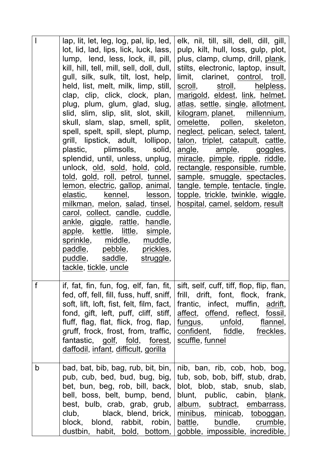| I            | lap, lit, let, leg, log, pal, lip, led,<br>lot, lid, lad, lips, lick, luck, lass,<br>lump, lend, less, lock, ill, pill,<br>kill, hill, tell, mill, sell, doll, dull,<br>gull, silk, sulk, tilt, lost, help,<br>held, list, melt, milk, limp, still,<br>clap, clip, click, clock, plan,<br>plug, plum, glum, glad, slug,<br>slid, slim, slip, slit, slot, skill,<br>skull, slam, slap, smell, split,<br>spell, spelt, spill, slept, plump,<br>grill, lipstick, adult, lollipop,<br>plastic, plimsolls, solid,<br>splendid, until, unless, unplug,<br>unlock, old, sold, hold, cold,<br><u>told, gold, roll, petrol, tunnel,</u><br>lemon, electric, gallop, animal,<br>elastic, kennel, lesson,<br><u>milkman, melon, salad, tinsel, </u><br>carol, collect, candle, cuddle,<br>ankle, giggle, rattle, handle,<br><u>apple, kettle, little, simple,</u><br><u>sprinkle, middle, muddle,</u><br>paddle, pebble, prickles,<br>puddle, saddle, struggle,<br>tackle, tickle, uncle | elk, nil, till, sill, dell, dill, gill,<br>pulp, kilt, hull, loss, gulp, plot,<br>plus, clamp, clump, drill, plank,<br>stilts, electronic, laptop, insult,<br>limit, clarinet, control, troll,<br>scroll, stroll, helpless,<br>marigold, eldest, link, helmet,<br>atlas, settle, single, allotment,<br>kilogram, planet, millennium,<br>omelette, pollen, skeleton,<br>neglect, pelican, select, talent,<br>talon, triplet, catapult, cattle,<br>angle, ample, goggles,<br>miracle, pimple, ripple, riddle,<br>rectangle, responsible, rumble,<br>sample, smuggle, spectacles,<br>tangle, temple, tentacle, tingle,<br>topple, trickle, twinkle, wiggle,<br>hospital, camel, seldom, result |
|--------------|-------------------------------------------------------------------------------------------------------------------------------------------------------------------------------------------------------------------------------------------------------------------------------------------------------------------------------------------------------------------------------------------------------------------------------------------------------------------------------------------------------------------------------------------------------------------------------------------------------------------------------------------------------------------------------------------------------------------------------------------------------------------------------------------------------------------------------------------------------------------------------------------------------------------------------------------------------------------------------|---------------------------------------------------------------------------------------------------------------------------------------------------------------------------------------------------------------------------------------------------------------------------------------------------------------------------------------------------------------------------------------------------------------------------------------------------------------------------------------------------------------------------------------------------------------------------------------------------------------------------------------------------------------------------------------------|
| $\mathsf{f}$ | if, fat, fin, fun, fog, elf, fan, fit,<br>soft, lift, loft, fist, felt, film, fact,<br>fond, gift, left, puff, cliff, stiff,<br>fluff, flag, flat, flick, frog, flap,<br>gruff, frock, frost, from, traffic,<br>fantastic, golf, fold, forest,<br>daffodil, infant, difficult, gorilla                                                                                                                                                                                                                                                                                                                                                                                                                                                                                                                                                                                                                                                                                        | sift, self, cuff, tiff, flop, flip, flan,<br>fed, off, fell, fill, fuss, huff, sniff,   frill, drift, font, flock, frank,<br>frantic, infect, muffin, adrift,<br>affect, offend, reflect, fossil,<br>fungus, unfold,<br>flannel,<br>confident, fiddle, freckles,<br>scuffle, funnel                                                                                                                                                                                                                                                                                                                                                                                                         |
| b            | bad, bat, bib, bag, rub, bit, bin, l<br>pub, cub, bed, bud, bug, big,<br>bet, bun, beg, rob, bill, back,<br>bell, boss, belt, bump, bend,<br>best, bulb, crab, grab, grub,<br>black, blend, brick,<br>club, club<br>block, blond, rabbit, robin,                                                                                                                                                                                                                                                                                                                                                                                                                                                                                                                                                                                                                                                                                                                              | nib, ban, rib, cob, hob, bog,<br>tub, sob, bob, biff, stub, drab,<br>  blot, blob, stab, snub, slab,<br>blunt, public, cabin, blank,<br>album, subtract, embarrass,<br>minibus, minicab, toboggan,<br><u>battle,</u><br><u>bundle,</u><br>crumble,<br>dustbin, habit, bold, bottom, gobble, impossible, incredible,                                                                                                                                                                                                                                                                                                                                                                         |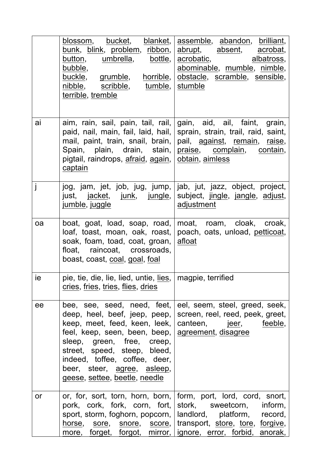|    | bucket, blanket,<br>blossom,<br><u>bunk, blink, problem, ribbon,</u><br>button, umbrella, bottle,<br>bubble,<br><u>buckle, grumble,</u><br>horrible,<br>nibble, scribble, tumble,<br>terrible, tremble                                                                                        | assemble, abandon, brilliant,<br><u>abrupt, absent,</u><br>acrobat,<br>acrobatic, and the set of the set of the set of the set of the set of the set of the set of the set of the set o<br>albatross,<br>abominable, mumble, nimble,<br>obstacle, scramble, sensible,<br>stumble |
|----|-----------------------------------------------------------------------------------------------------------------------------------------------------------------------------------------------------------------------------------------------------------------------------------------------|----------------------------------------------------------------------------------------------------------------------------------------------------------------------------------------------------------------------------------------------------------------------------------|
| ai | aim, rain, sail, pain, tail, rail,<br>paid, nail, main, fail, laid, hail,<br>mail, paint, train, snail, brain,<br>Spain, plain, drain, stain,<br>pigtail, raindrops, afraid, again,<br>captain                                                                                                | gain, aid, ail, faint, grain,<br>sprain, strain, trail, raid, saint,<br>pail, against, remain, raise,<br>praise, complain, contain,<br>obtain, aimless                                                                                                                           |
| j  | just, <u>jacket, junk, jungle,</u>  <br>jumble, juggle                                                                                                                                                                                                                                        | jog, jam, jet, job, jug, jump,   jab, jut, jazz, object, project,<br>subject, jingle, jangle, adjust,<br>adjustment                                                                                                                                                              |
| oa | boat, goat, load, soap, road,<br>loaf, toast, moan, oak, roast,<br>soak, foam, toad, coat, groan,<br>float, raincoat, crossroads,<br>boast, coast, coal, goal, foal                                                                                                                           | moat, roam, cloak, croak,<br>poach, oats, unload, petticoat,<br>afloat                                                                                                                                                                                                           |
| ie | pie, tie, die, lie, lied, untie, lies,<br>cries, fries, tries, flies, dries                                                                                                                                                                                                                   | magpie, terrified                                                                                                                                                                                                                                                                |
| ee | bee, see, seed, need, feet,<br>deep, heel, beef, jeep, peep,<br>keep, meet, feed, keen, leek,<br>feel, keep, seen, been, beep,<br>sleep, green, free, creep,<br>street, speed, steep, bleed,<br>indeed, toffee, coffee, deer,<br>beer, steer, agree, asleep,<br>geese, settee, beetle, needle | eel, seem, steel, greed, seek,<br>screen, reel, reed, peek, greet,<br>canteen, jeer,<br>feeble,<br>agreement, disagree                                                                                                                                                           |
| or | pork, cork, fork, corn, fort,<br>sport, storm, foghorn, popcorn,  <br><u>more, forget, forgot, mirror, late more</u>                                                                                                                                                                          | or, for, sort, torn, horn, born, form, port, lord, cord, snort,<br>stork, sweetcorn,<br>inform,<br>landlord, platform, record,<br>horse, sore, snore, score, transport, store, tore, forgive,<br>ignore, error, forbid, anorak,                                                  |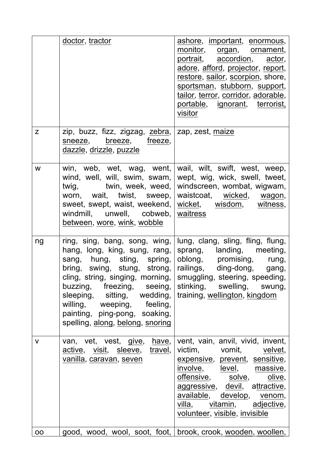|              | doctor, tractor                                                                                                                                                                                                                                             | ashore, important, enormous,<br>monitor, organ, ornament,<br>portrait, accordion, actor,<br>adore, afford, projector, report,<br>restore, sailor, scorpion, shore,<br>sportsman, stubborn, support,<br>tailor, terror, corridor, adorable,<br>portable, ignorant, terrorist,<br>visitor    |
|--------------|-------------------------------------------------------------------------------------------------------------------------------------------------------------------------------------------------------------------------------------------------------------|--------------------------------------------------------------------------------------------------------------------------------------------------------------------------------------------------------------------------------------------------------------------------------------------|
| Z            | zip, buzz, fizz, zigzag, zebra, zap, zest, maize<br>breeze, freeze,<br>sneeze,<br>dazzle, drizzle, puzzle                                                                                                                                                   |                                                                                                                                                                                                                                                                                            |
| W            | worn, wait, twist, sweep,<br>windmill, unwell, cobweb,<br>between, wore, wink, wobble                                                                                                                                                                       | win, web, wet, wag, went, wail, wilt, swift, west, weep,<br>wind, well, will, swim, swam, wept, wig, wick, swell, tweet,<br>twig, twin, week, weed, windscreen, wombat, wigwam,<br>waistcoat, wicked, wagon,<br>sweet, swept, waist, weekend, wicket, wisdom, witness,<br>waitress         |
| ng           | hang, long, king, sung, rang,<br>sang, hung, sting, spring,<br>bring, swing, stung, strong,<br>sleeping, sitting, wedding, training, wellington, kingdom<br>willing, weeping, feeling,<br>painting, ping-pong, soaking,<br>spelling, along, belong, snoring | ring, sing, bang, song, wing, lung, clang, sling, fling, flung,<br>sprang, landing, meeting,<br>oblong, promising, rung,<br>railings, ding-dong, gang,<br>cling, string, singing, morning, smuggling, steering, speeding,<br>buzzing, freezing, seeing, stinking, swelling, swung,         |
| $\mathsf{V}$ | van, vet, vest, give, have,<br><u>active, visit, sleeve,</u><br>travel,<br>vanilla, caravan, seven                                                                                                                                                          | vent, vain, anvil, vivid, invent,<br>victim, vomit,<br>velvet,<br>expensive, prevent, sensitive,<br>involve, level, massive,<br>offensive, solve,<br>olive,<br>aggressive, devil, attractive,<br>available, develop, venom,<br>villa, vitamin, adjective,<br>volunteer, visible, invisible |
| OO           |                                                                                                                                                                                                                                                             | good, wood, wool, soot, foot, brook, crook, wooden, woollen,                                                                                                                                                                                                                               |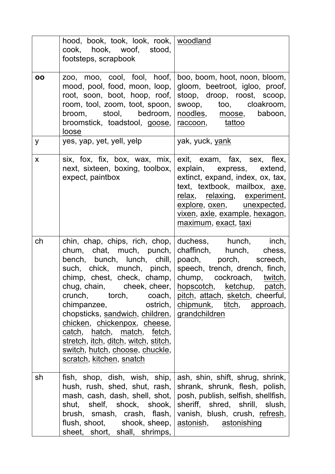|    | hood, book, took, look, rook, woodland<br>cook, hook, woof, stood,<br>footsteps, scrapbook                                                                                                                                                                       |                                                                                                                                                                                                                                                                                                                                                                                                                             |
|----|------------------------------------------------------------------------------------------------------------------------------------------------------------------------------------------------------------------------------------------------------------------|-----------------------------------------------------------------------------------------------------------------------------------------------------------------------------------------------------------------------------------------------------------------------------------------------------------------------------------------------------------------------------------------------------------------------------|
| 00 | zoo, moo, cool, fool, hoof,<br>mood, pool, food, moon, loop,<br>root, soon, boot, hoop, roof,<br>room, tool, zoom, toot, spoon,<br>broom, stool, bedroom,<br>broomstick, toadstool, goose,<br>loose                                                              | boo, boom, hoot, noon, bloom,<br>gloom, beetroot, igloo, proof,<br>stoop, droop, roost, scoop,<br>swoop, too, cloakroom,<br>noodles, moose,<br>baboon,<br>raccoon, tattoo                                                                                                                                                                                                                                                   |
| y  | yes, yap, yet, yell, yelp                                                                                                                                                                                                                                        | yak, yuck, yank                                                                                                                                                                                                                                                                                                                                                                                                             |
| X  | six, fox, fix, box, wax, mix,<br>next, sixteen, boxing, toolbox,<br>expect, paintbox                                                                                                                                                                             | exit, exam, fax, sex, flex,<br>explain, express, extend,<br>extinct, expand, index, ox, tax,<br>text, textbook, mailbox, axe,<br>relax, relaxing, experiment,<br>explore, oxen, unexpected,<br><u>vixen, axle, example, hexagon,</u><br><u>maximum, exact, taxi</u>                                                                                                                                                         |
| ch | chum, chat, much, punch,<br>bench, bunch, lunch, chill,<br>chopsticks, sandwich, children,<br>chicken, chickenpox, cheese,<br>catch, hatch, match, fetch,<br>stretch, itch, ditch, witch, stitch,<br>switch, hutch, choose, chuckle,<br>scratch, kitchen, snatch | chin, chap, chips, rich, chop, duchess, hunch, inch,<br>chaffinch, hunch, chess,<br>poach, porch, screech,<br>such, chick, munch, pinch, speech, trench, drench, finch,<br>chimp, chest, check, champ, chump, cockroach, twitch,<br>chug, chain, cheek, cheer,   hopscotch, ketchup, patch,<br>crunch, torch, coach,   pitch, attach, sketch, cheerful,<br>chimpanzee, ostrich, chipmunk, titch, approach,<br>grandchildren |
| sh | fish, shop, dish, wish, ship,<br>hush, rush, shed, shut, rash,<br>mash, cash, dash, shell, shot,<br>shut, shelf, shock, shook,<br>brush, smash, crash, flash,<br>flush, shoot, shook, sheep,<br>sheet, short, shall, shrimps,                                    | ash, shin, shift, shrug, shrink,<br>shrank, shrunk, flesh, polish,<br>posh, publish, selfish, shellfish,<br>sheriff, shred, shrill, slush,<br>vanish, blush, crush, refresh,<br>astonish, astonishing                                                                                                                                                                                                                       |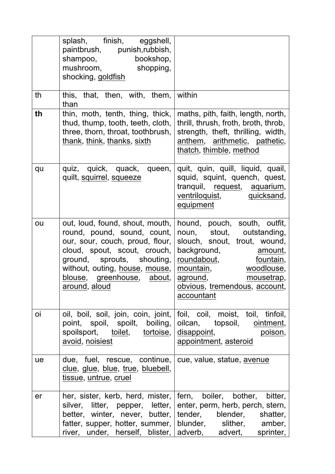|    | splash, finish, eggshell,<br>paintbrush, punish, rubbish,<br>bookshop,<br>shampoo,<br>mushroom, shopping,<br>shocking, goldfish                                                                                                                         |                                                                                                                                                                                                                                                                                                                         |
|----|---------------------------------------------------------------------------------------------------------------------------------------------------------------------------------------------------------------------------------------------------------|-------------------------------------------------------------------------------------------------------------------------------------------------------------------------------------------------------------------------------------------------------------------------------------------------------------------------|
| th | this, that, then, with, them,<br>than                                                                                                                                                                                                                   | within                                                                                                                                                                                                                                                                                                                  |
| th | thin, moth, tenth, thing, thick,<br>thud, thump, tooth, teeth, cloth,<br>three, thorn, throat, toothbrush,<br>thank, think, thanks, sixth                                                                                                               | maths, pith, faith, length, north,<br>thrill, thrush, froth, broth, throb,<br>strength, theft, thrilling, width,<br>anthem, arithmetic, pathetic,<br>thatch, thimble, method                                                                                                                                            |
| qu | quiz, quick, quack,<br>queen,<br>quilt, squirrel, squeeze                                                                                                                                                                                               | quit, quin, quill, liquid, quail,<br>squid, squint, quench, quest,<br>tranquil, request, aquarium,<br>ventriloquist,<br>quicksand,<br>equipment                                                                                                                                                                         |
| ou | out, loud, found, shout, mouth,<br>round, pound, sound, count,<br>our, sour, couch, proud, flour,<br>cloud, spout, scout, crouch,<br>ground, sprouts, shouting,<br>without, outing, house, mouse,<br>blouse, greenhouse, about,<br><u>around, aloud</u> | hound, pouch, south, outfit,<br>outstanding,<br>noun, stout,<br>slouch, snout, trout, wound,<br>background,<br>amount,<br>roundabout,<br>fountain,<br>mountain,<br>woodlouse,<br>mousetrap,<br>aground,<br>obvious, tremendous, account,<br>accountant                                                                  |
| 0İ | point, spoil, spoilt, boiling,<br>spoilsport, toilet, tortoise,<br>avoid, noisiest                                                                                                                                                                      | oil, boil, soil, join, coin, joint, foil, coil, moist, toil, tinfoil,<br>oilcan, topsoil, ointment,<br>disappoint,<br>poison,<br>appointment, asteroid                                                                                                                                                                  |
| ue | due, fuel, rescue, continue, cue, value, statue, avenue<br>clue, glue, blue, true, bluebell,<br>tissue, untrue, cruel                                                                                                                                   |                                                                                                                                                                                                                                                                                                                         |
| er |                                                                                                                                                                                                                                                         | her, sister, kerb, herd, mister, fern, boiler, bother, bitter,<br>silver, litter, pepper, letter, enter, perm, herb, perch, stern,<br>better, winter, never, butter, tender, blender, shatter,<br>fatter, supper, hotter, summer, blunder, slither, amber,<br>river, under, herself, blister, adverb, advert, sprinter, |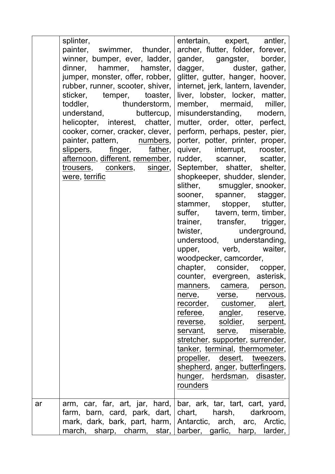|    | splinter,                                    | entertain, expert, antler,                                      |
|----|----------------------------------------------|-----------------------------------------------------------------|
|    | painter, swimmer, thunder,                   | archer, flutter, folder, forever,                               |
|    | winner, bumper, ever, ladder,                | gander, gangster, border,                                       |
|    | dinner, hammer, hamster,                     | dagger, duster, gather,                                         |
|    | jumper, monster, offer, robber,              | glitter, gutter, hanger, hoover,                                |
|    | rubber, runner, scooter, shiver,             | internet, jerk, lantern, lavender,                              |
|    | sticker, temper, toaster,                    | liver, lobster, locker, matter,                                 |
|    | thunderstorm,<br>toddler,                    | member, mermaid,<br>miller,                                     |
|    | understand,<br>buttercup,                    | misunderstanding, modern,                                       |
|    | helicopter, interest, chatter,               | mutter, order, otter, perfect,                                  |
|    | cooker, corner, cracker, clever,             | perform, perhaps, pester, pier,                                 |
|    | painter, pattern, mumbers,                   | porter, potter, printer, proper,                                |
|    | father,<br>finger,<br>slippers,              | quiver, interrupt, rooster,                                     |
|    |                                              | rudder, scanner, scatter,                                       |
|    | afternoon, different, remember,              | September, shatter, shelter,                                    |
|    | trousers, conkers, singer,<br>were, terrific | shopkeeper, shudder, slender,                                   |
|    |                                              |                                                                 |
|    |                                              | slither, smuggler, snooker,                                     |
|    |                                              | sooner, spanner, stagger,                                       |
|    |                                              | stammer, stopper, stutter,                                      |
|    |                                              | suffer, tavern, term, timber,                                   |
|    |                                              | trainer, transfer,<br>trigger,                                  |
|    |                                              | twister, underground,                                           |
|    |                                              | understood, understanding,                                      |
|    |                                              | upper, verb, waiter,                                            |
|    |                                              | woodpecker, camcorder,                                          |
|    |                                              | chapter, consider, copper,                                      |
|    |                                              | counter, evergreen, asterisk,                                   |
|    |                                              | manners, camera, person,                                        |
|    |                                              | nerve, verse, nervous,                                          |
|    |                                              | recorder, customer, alert,                                      |
|    |                                              | referee, angler, reserve,                                       |
|    |                                              | reverse, soldier, serpent,                                      |
|    |                                              | servant, serve, miserable,                                      |
|    |                                              | stretcher, supporter, surrender,                                |
|    |                                              | tanker, terminal, thermometer,                                  |
|    |                                              | propeller, desert, tweezers,                                    |
|    |                                              | shepherd, anger, butterfingers,                                 |
|    |                                              | hunger, herdsman, disaster,                                     |
|    |                                              | rounders                                                        |
|    |                                              |                                                                 |
| ar |                                              | arm, car, far, art, jar, hard, bar, ark, tar, tart, cart, yard, |
|    | farm, barn, card, park, dart,                | chart, harsh, darkroom,                                         |
|    |                                              | mark, dark, bark, part, harm, Antarctic, arch, arc, Arctic,     |
|    |                                              | march, sharp, charm, star, barber, garlic, harp, larder,        |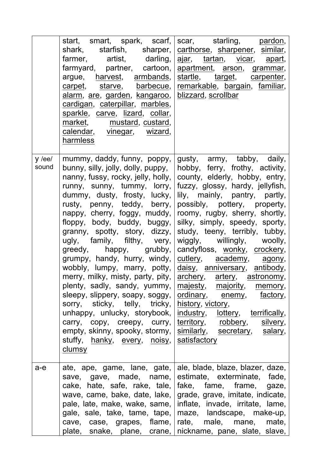|                 | shark,<br>farmer, artist, darling,<br>farmyard, partner, cartoon,<br>argue, harvest, armbands,<br>alarm, are, garden, kangaroo, blizzard, scrollbar<br>cardigan, caterpillar, marbles,<br><u>sparkle, carve, lizard, collar, </u><br>market, mustard, custard,<br><u>calendar, vinegar, wizard,</u><br>harmless                                                                                                                  | start, smart, spark, scarf, scar, starling, pardon,<br>starfish, sharper,   carthorse, sharpener, similar,<br><u>ajar, tartan, vicar, apart,</u><br>apartment, arson, grammar,<br>startle, target, carpenter,<br>carpet, starve, barbecue, remarkable, bargain, familiar,                                                                                                                                                                                                                                                                                                                                                                                                                                                                                                                                                                                                                                                 |
|-----------------|----------------------------------------------------------------------------------------------------------------------------------------------------------------------------------------------------------------------------------------------------------------------------------------------------------------------------------------------------------------------------------------------------------------------------------|---------------------------------------------------------------------------------------------------------------------------------------------------------------------------------------------------------------------------------------------------------------------------------------------------------------------------------------------------------------------------------------------------------------------------------------------------------------------------------------------------------------------------------------------------------------------------------------------------------------------------------------------------------------------------------------------------------------------------------------------------------------------------------------------------------------------------------------------------------------------------------------------------------------------------|
| y /ee/<br>sound | mummy, daddy, funny, poppy,<br>bunny, silly, jolly, dolly, puppy,<br>nanny, fussy, rocky, jelly, holly,<br>runny, sunny, tummy, lorry,<br>dummy, dusty, frosty, lucky,<br>rusty, penny, teddy, berry,<br>floppy, body, buddy, buggy,<br>ugly, family, filthy, very,<br>sorry, sticky, telly, tricky, history, victory,<br>carry, copy, creepy, curry, territory, robbery,<br>stuffy, hanky, every, noisy, satisfactory<br>clumsy | gusty, army, tabby, daily,<br>hobby, ferry, frothy, activity,<br>county, elderly, hobby, entry,<br>fuzzy, glossy, hardy, jellyfish,<br>lily, mainly, pantry, partly,<br>possibly, pottery, property,<br>nappy, cherry, foggy, muddy, roomy, rugby, sherry, shortly,<br>silky, simply, speedy, sporty,<br>granny, spotty, story, dizzy, study, teeny, terribly, tubby,<br>wiggly, willingly, woolly,<br>greedy, happy, grubby, candyfloss, wonky, crockery,<br>grumpy, handy, hurry, windy, cutlery, academy, agony,<br>wobbly, lumpy, marry, potty, daisy, anniversary, antibody,<br>merry, milky, misty, party, pity, archery, artery, astronomy,<br>plenty, sadly, sandy, yummy, majesty, majority, memory,<br>sleepy, slippery, soapy, soggy,   ordinary, enemy, factory,<br>unhappy, unlucky, storybook, industry, lottery, terrifically,<br>silvery,<br>empty, skinny, spooky, stormy, similarly, secretary, salary, |
| $a-e$           |                                                                                                                                                                                                                                                                                                                                                                                                                                  | ate, ape, game, lane, gate, ale, blade, blaze, blazer, daze,<br>save, gave, made, name, estimate, exterminate, fade,<br>cake, hate, safe, rake, tale, fake, fame, frame, gaze,<br>wave, came, bake, date, lake, grade, grave, imitate, indicate,<br>pale, late, make, wake, same,   inflate, invade, irritate, lame,<br>gale, sale, take, tame, tape, maze, landscape, make-up,<br>cave, case, grapes, flame, rate, male, mane, mate,<br>plate, snake, plane, crane, nickname, pane, slate, slave,                                                                                                                                                                                                                                                                                                                                                                                                                        |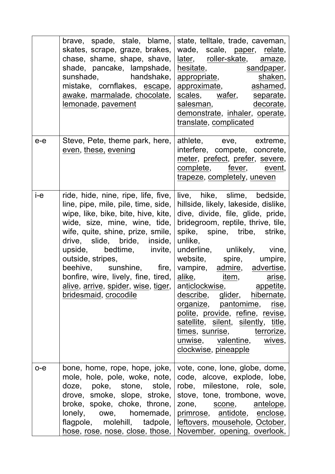|       | brave, spade, stale, blame,<br>skates, scrape, graze, brakes,<br>chase, shame, shape, shave,<br>shade, pancake, lampshade,<br>sunshade, handshake,<br>mistake, cornflakes, escape,<br>awake, marmalade, chocolate,<br>lemonade, pavement                                                                                                                    | state, telltale, trade, caveman,<br>wade, scale, paper, relate,<br>later, roller-skate,<br>amaze,<br>hesitate, sandpaper,<br>appropriate,<br>shaken,<br>approximate, ashamed,<br>scales, wafer, separate,<br>salesman,<br>decorate,<br>demonstrate, inhaler, operate,<br>translate, complicated                                                                                                                                                                                                                                                                                                                                                                                                               |
|-------|-------------------------------------------------------------------------------------------------------------------------------------------------------------------------------------------------------------------------------------------------------------------------------------------------------------------------------------------------------------|---------------------------------------------------------------------------------------------------------------------------------------------------------------------------------------------------------------------------------------------------------------------------------------------------------------------------------------------------------------------------------------------------------------------------------------------------------------------------------------------------------------------------------------------------------------------------------------------------------------------------------------------------------------------------------------------------------------|
| $e-e$ | Steve, Pete, theme park, here,<br>even, these, evening                                                                                                                                                                                                                                                                                                      | athlete, eve, extreme,<br>interfere, compete, concrete,<br>meter, prefect, prefer, severe,<br>complete, fever, event,<br>trapeze, completely, uneven                                                                                                                                                                                                                                                                                                                                                                                                                                                                                                                                                          |
| i-e   | line, pipe, mile, pile, time, side,<br>wipe, like, bike, bite, hive, kite,  <br>wide, size, mine, wine, tide,<br>wife, quite, shine, prize, smile,<br>drive, slide, bride, inside,<br>upside, bedtime, invite,<br>outside, stripes, expression of the set of the set of the set of the set of the set of the set of the set of the<br>bridesmaid, crocodile | ride, hide, nine, ripe, life, five, live, hike, slime, bedside,<br>hillside, likely, lakeside, dislike,<br>dive, divide, file, glide, pride,<br>bridegroom, reptile, thrive, tile,<br>spike, spine, tribe, strike,<br>unlike,<br>underline, unlikely, vine,<br>website, spire, umpire,<br>beehive, sunshine, fire, vampire, admire, advertise,<br>bonfire, wire, lively, fine, tired, $\vert$ alike, item, arise,<br>alive, arrive, spider, wise, tiger, anticlockwise, appetite,<br>describe, glider, hibernate,<br>organize, pantomime, rise,<br>polite, provide, refine, revise,<br>satellite, silent, silently, title,<br>times, sunrise, terrorize,<br>unwise, valentine, wives,<br>clockwise, pineapple |
| $o-e$ |                                                                                                                                                                                                                                                                                                                                                             | bone, home, rope, hope, joke, vote, cone, lone, globe, dome,<br>mole, hole, pole, woke, note, code, alcove, explode, lobe,<br>doze, poke, stone, stole, robe, milestone, role, sole,<br>drove, smoke, slope, stroke, stove, tone, trombone, wove,<br>broke, spoke, choke, throne, zone, scone, antelope,<br>lonely, owe, homemade, primrose, antidote, enclose,<br>flagpole, molehill, tadpole, leftovers, mousehole, October,<br><u>hose, rose, nose, close, those, November, opening, overlook,</u>                                                                                                                                                                                                         |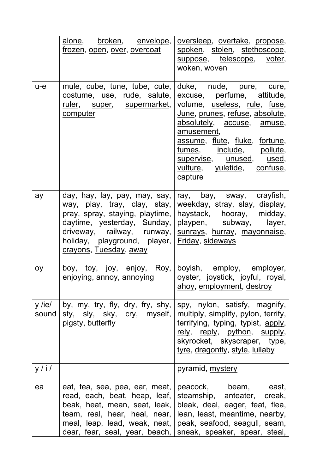|                 | alone, broken, envelope,<br>frozen, open, over, overcoat                                                                                                                                             | oversleep, overtake, propose,<br>spoken, stolen, stethoscope,<br>suppose, telescope, voter,<br>woken, woven                                                                                                                                                                                                              |
|-----------------|------------------------------------------------------------------------------------------------------------------------------------------------------------------------------------------------------|--------------------------------------------------------------------------------------------------------------------------------------------------------------------------------------------------------------------------------------------------------------------------------------------------------------------------|
| $u-e$           | mule, cube, tune, tube, cute,<br>costume, use, rude, salute,<br>ruler, super, supermarket,<br>computer                                                                                               | duke, nude, pure, cure,<br>excuse, perfume, attitude,<br>volume, useless, rule, fuse,<br><u>June, prunes, refuse, absolute, </u><br>absolutely, accuse, amuse,<br>amusement,<br>assume, flute, fluke, fortune,<br><u>fumes</u> , include, pollute,<br>supervise, unused, used,<br>vulture, yuletide, confuse,<br>capture |
| ay              | way, play, tray, clay, stay,<br>pray, spray, staying, playtime,<br>daytime, yesterday, Sunday,<br>driveway, railway, runway,<br>holiday, playground, player,<br>crayons, Tuesday, away               | day, hay, lay, pay, may, say,   ray, bay, sway, crayfish,<br>weekday, stray, slay, display,<br>haystack, hooray, midday,<br>playpen, subway, layer,<br>sunrays, hurray, mayonnaise,<br><u>Friday, sideways</u>                                                                                                           |
| oy              | boy, toy, joy, enjoy, Roy,<br>enjoying, annoy, annoying                                                                                                                                              | boyish, employ, employer,<br>oyster, joystick, joyful, royal,<br>ahoy, employment, destroy                                                                                                                                                                                                                               |
| y /ie/<br>sound | pigsty, butterfly                                                                                                                                                                                    | by, my, try, fly, dry, fry, shy, spy, nylon, satisfy, magnify,<br>sty, sly, sky, cry, myself, multiply, simplify, pylon, terrify,<br>terrifying, typing, typist, apply,<br><u>rely, reply, python, supply,</u><br>skyrocket, skyscraper, type,<br>tyre, dragonfly, style, lullaby                                        |
| y/ii/           |                                                                                                                                                                                                      | pyramid, mystery                                                                                                                                                                                                                                                                                                         |
| ea              | eat, tea, sea, pea, ear, meat,<br>read, each, beat, heap, leaf,<br>beak, heat, mean, seat, leak,<br>team, real, hear, heal, near,<br>meal, leap, lead, weak, neat,<br>dear, fear, seal, year, beach, | peacock, beam, east,<br>steamship, anteater, creak,<br>bleak, deal, eager, feat, flea,<br>lean, least, meantime, nearby,<br>peak, seafood, seagull, seam,<br>sneak, speaker, spear, steal,                                                                                                                               |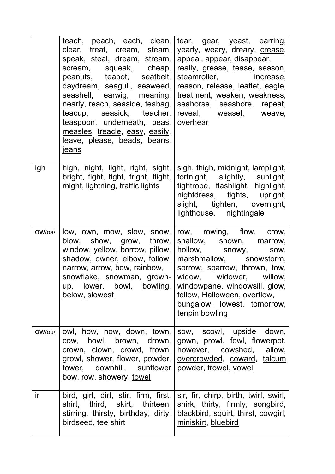|        | clear, treat, cream, steam,<br>speak, steal, dream, stream, appeal, appear, disappear,<br>scream, squeak, cheap,<br>peanuts, teapot, seatbelt, steamroller,<br>daydream, seagull, seaweed,<br>seashell, earwig, meaning,<br>nearly, reach, seaside, teabag,<br>teacup, seasick, teacher,<br>teaspoon, underneath, peas,<br>measles, treacle, easy, easily,<br>leave, please, beads, beans,<br>jeans | teach, peach, each, clean, tear, gear, yeast, earring,<br>yearly, weary, dreary, crease,<br>really, grease, tease, season,<br>increase,<br>reason, release, leaflet, eagle,<br>treatment, weaken, weakness,<br>seahorse, seashore, repeat,<br>reveal, weasel, weave,<br>overhear         |
|--------|-----------------------------------------------------------------------------------------------------------------------------------------------------------------------------------------------------------------------------------------------------------------------------------------------------------------------------------------------------------------------------------------------------|------------------------------------------------------------------------------------------------------------------------------------------------------------------------------------------------------------------------------------------------------------------------------------------|
| igh    | high, night, light, right, sight,<br>bright, fight, tight, fright, flight,<br>might, lightning, traffic lights                                                                                                                                                                                                                                                                                      | sigh, thigh, midnight, lamplight,<br>fortnight, slightly, sunlight,<br>tightrope, flashlight, highlight,<br>nightdress, tights, upright,<br>slight, tighten, overnight,<br>lighthouse, nightingale                                                                                       |
| OW/oa/ | low, own, mow, slow, snow,<br>blow, show, grow, throw,<br>window, yellow, borrow, pillow,<br>shadow, owner, elbow, follow,<br>narrow, arrow, bow, rainbow,<br>snowflake, snowman, grown-<br>up, lower, bowl, bowling,<br>below, slowest                                                                                                                                                             | row, rowing, flow, crow,<br>shallow, shown, marrow,<br>hollow, snowy,<br>SOW,<br>marshmallow, snowstorm,<br>sorrow, sparrow, thrown, tow,<br>  widow, widower, willow,<br>windowpane, windowsill, glow,<br>fellow, Halloween, overflow,<br>bungalow, lowest, tomorrow,<br>tenpin bowling |
| OW/ou/ | owl, how, now, down, town,<br>cow, howl, brown, drown,<br>crown, clown, crowd, frown,<br>growl, shower, flower, powder,<br>tower, downhill, sunflower<br>bow, row, showery, towel                                                                                                                                                                                                                   | sow, scowl, upside down,<br>gown, prowl, fowl, flowerpot,<br>however, cowshed, allow,<br>overcrowded, coward, talcum<br>powder, trowel, vowel                                                                                                                                            |
| ir     | bird, girl, dirt, stir, firm, first,<br>shirt, third, skirt, thirteen,<br>stirring, thirsty, birthday, dirty,<br>birdseed, tee shirt                                                                                                                                                                                                                                                                | sir, fir, chirp, birth, twirl, swirl,<br>shirk, thirty, firmly, songbird,<br>blackbird, squirt, thirst, cowgirl,<br>miniskirt, bluebird                                                                                                                                                  |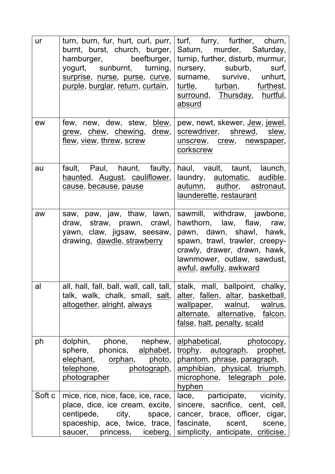| ur     | burnt, burst, church, burger,<br>hamburger, beefburger,<br>yogurt, sunburnt, turning,<br>surprise, nurse, purse, curve,<br>purple, burglar, return, curtain,    | turn, burn, fur, hurt, curl, purr,   turf, furry, further, churn,<br>Saturn, murder, Saturday,<br>turnip, further, disturb, murmur,<br>nursery, suburb,<br>surf,<br>surname, survive, unhurt,<br>turtle, turban, furthest,<br>surround, Thursday, hurtful,<br>absurd |
|--------|-----------------------------------------------------------------------------------------------------------------------------------------------------------------|----------------------------------------------------------------------------------------------------------------------------------------------------------------------------------------------------------------------------------------------------------------------|
| ew     | few, new, dew, stew, blew,<br>grew, chew, chewing, drew,<br>flew, view, threw, screw                                                                            | pew, newt, skewer, Jew, jewel,<br>screwdriver, shrewd, slew,<br>unscrew, crew, newspaper,<br>corkscrew                                                                                                                                                               |
| au     | fault, Paul, haunt, faulty,<br>haunted, August, cauliflower,<br>cause, because, pause                                                                           | haul, vault, taunt, launch,<br>laundry, automatic, audible,<br>autumn, author, astronaut,<br>launderette, restaurant                                                                                                                                                 |
| aw     | saw, paw, jaw, thaw, lawn,<br>draw, straw, prawn, crawl,<br>yawn, claw, jigsaw, seesaw,<br>drawing, dawdle, strawberry                                          | sawmill, withdraw, jawbone,<br>hawthorn, law, flaw, raw,<br>pawn, dawn, shawl, hawk,<br>spawn, trawl, trawler, creepy-<br>crawly, drawer, drawn, hawk,<br>lawnmower, outlaw, sawdust,<br>awful, awfully, awkward                                                     |
| al     | talk, walk, chalk, small, salt,<br>altogether, alright, always                                                                                                  | all, hall, fall, ball, wall, call, tall, stalk, mall, ballpoint, chalky,<br>alter, fallen, altar, basketball,<br>wallpaper, walnut, walrus,<br>alternate, alternative, falcon,<br>false, halt, penalty, scald                                                        |
| ph     | dolphin, phone, nephew,<br>sphere, phonics, alphabet,<br>elephant, orphan, photo,<br>telephone, photograph,<br>photographer                                     | alphabetical, photocopy,<br>trophy, autograph, prophet,<br>phantom, phrase, paragraph,<br>amphibian, physical, triumph,<br>microphone, telegraph pole,<br>hyphen                                                                                                     |
| Soft c | mice, rice, nice, face, ice, race,<br>place, dice, ice cream, excite,<br>centipede, city, space,<br>spaceship, ace, twice, trace,<br>saucer, princess, iceberg, | lace, participate, vicinity,<br>sincere, sacrifice, cent, cell,<br>cancer, brace, officer, cigar,<br>fascinate,<br>scent,<br>scene,<br>simplicity, anticipate, criticise,                                                                                            |